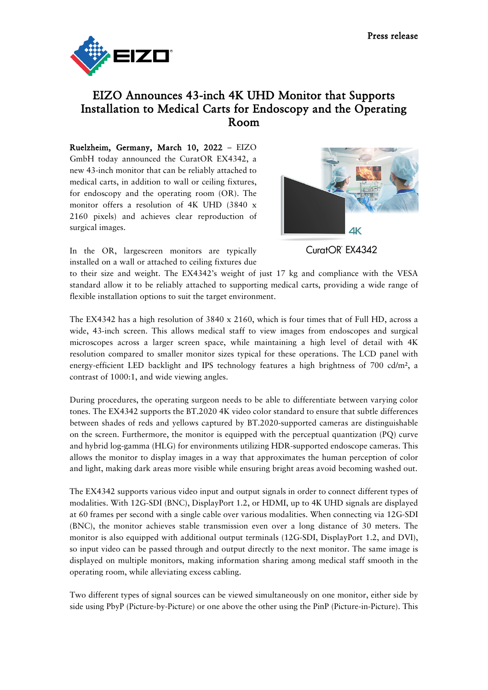

## EIZO Announces 43-inch 4K UHD Monitor that Supports Installation to Medical Carts for Endoscopy and the Operating Room

Ruelzheim, Germany, March 10, 2022 – EIZO GmbH today announced the CuratOR EX4342, a new 43-inch monitor that can be reliably attached to medical carts, in addition to wall or ceiling fixtures, for endoscopy and the operating room (OR). The monitor offers a resolution of 4K UHD (3840 x 2160 pixels) and achieves clear reproduction of surgical images.



In the OR, largescreen monitors are typically installed on a wall or attached to ceiling fixtures due CuratOR EX4342

to their size and weight. The EX4342's weight of just 17 kg and compliance with the VESA standard allow it to be reliably attached to supporting medical carts, providing a wide range of flexible installation options to suit the target environment.

The EX4342 has a high resolution of 3840 x 2160, which is four times that of Full HD, across a wide, 43-inch screen. This allows medical staff to view images from endoscopes and surgical microscopes across a larger screen space, while maintaining a high level of detail with 4K resolution compared to smaller monitor sizes typical for these operations. The LCD panel with energy-efficient LED backlight and IPS technology features a high brightness of 700 cd/m<sup>2</sup>, a contrast of 1000:1, and wide viewing angles.

During procedures, the operating surgeon needs to be able to differentiate between varying color tones. The EX4342 supports the BT.2020 4K video color standard to ensure that subtle differences between shades of reds and yellows captured by BT.2020-supported cameras are distinguishable on the screen. Furthermore, the monitor is equipped with the perceptual quantization (PQ) curve and hybrid log-gamma (HLG) for environments utilizing HDR-supported endoscope cameras. This allows the monitor to display images in a way that approximates the human perception of color and light, making dark areas more visible while ensuring bright areas avoid becoming washed out.

The EX4342 supports various video input and output signals in order to connect different types of modalities. With 12G-SDI (BNC), DisplayPort 1.2, or HDMI, up to 4K UHD signals are displayed at 60 frames per second with a single cable over various modalities. When connecting via 12G-SDI (BNC), the monitor achieves stable transmission even over a long distance of 30 meters. The monitor is also equipped with additional output terminals (12G-SDI, DisplayPort 1.2, and DVI), so input video can be passed through and output directly to the next monitor. The same image is displayed on multiple monitors, making information sharing among medical staff smooth in the operating room, while alleviating excess cabling.

Two different types of signal sources can be viewed simultaneously on one monitor, either side by side using PbyP (Picture-by-Picture) or one above the other using the PinP (Picture-in-Picture). This